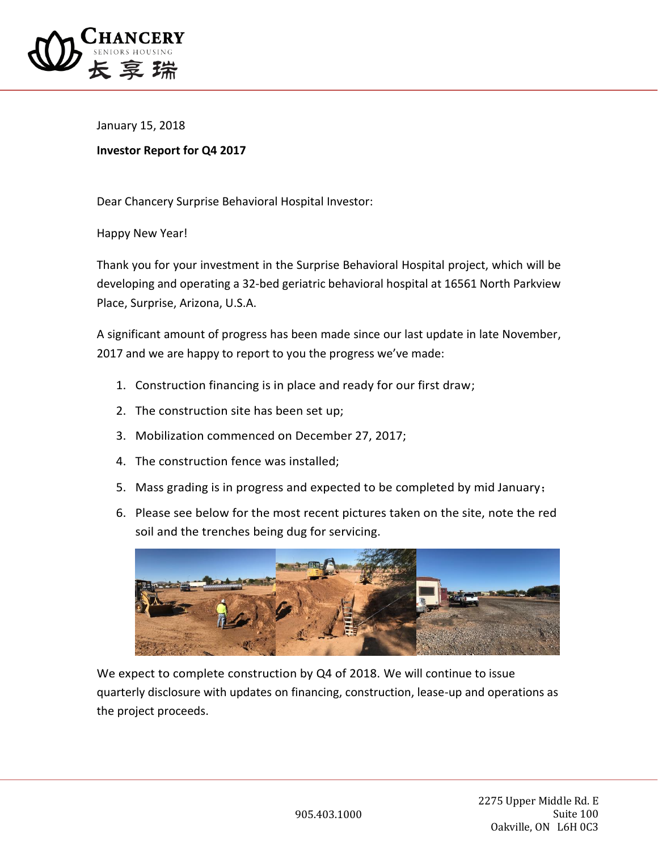

January 15, 2018

## **Investor Report for Q4 2017**

Dear Chancery Surprise Behavioral Hospital Investor:

Happy New Year!

Thank you for your investment in the Surprise Behavioral Hospital project, which will be developing and operating a 32-bed geriatric behavioral hospital at 16561 North Parkview Place, Surprise, Arizona, U.S.A.

A significant amount of progress has been made since our last update in late November, 2017 and we are happy to report to you the progress we've made:

- 1. Construction financing is in place and ready for our first draw;
- 2. The construction site has been set up;
- 3. Mobilization commenced on December 27, 2017;
- 4. The construction fence was installed;
- 5. Mass grading is in progress and expected to be completed by mid January;
- 6. Please see below for the most recent pictures taken on the site, note the red soil and the trenches being dug for servicing.



We expect to complete construction by Q4 of 2018. We will continue to issue quarterly disclosure with updates on financing, construction, lease-up and operations as the project proceeds.